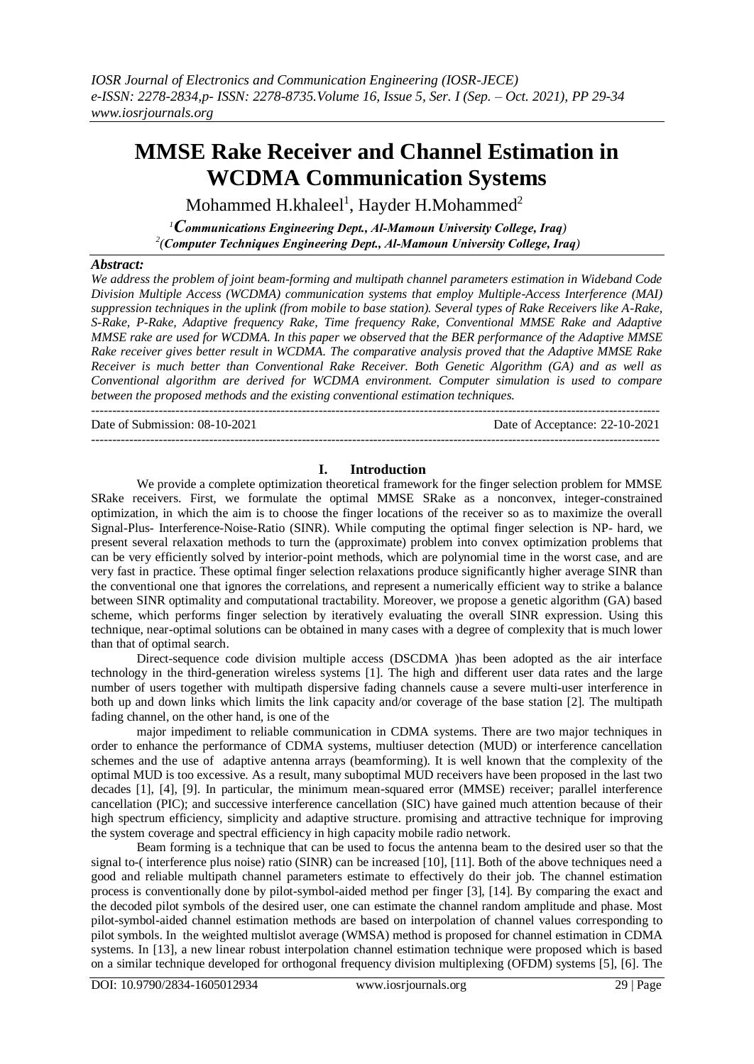# **MMSE Rake Receiver and Channel Estimation in WCDMA Communication Systems**

Mohammed H.khaleel $^{\rm l}$ , Hayder H.Mohammed $^{\rm 2}$ 

<sup>1</sup> Communications Engineering Dept., Al-Mamoun University College, Iraq<sub></sub>) <sup>2</sup>/Computer Techniques Engineering Dept. Al-Mamoun University College, Iraq *(Computer Techniques Engineering Dept., Al-Mamoun University College, Iraq)*

# *Abstract:*

*We address the problem of joint beam-forming and multipath channel parameters estimation in Wideband Code Division Multiple Access (WCDMA) communication systems that employ Multiple-Access Interference (MAI) suppression techniques in the uplink (from mobile to base station). Several types of Rake Receivers like A-Rake, S-Rake, P-Rake, Adaptive frequency Rake, Time frequency Rake, Conventional MMSE Rake and Adaptive MMSE rake are used for WCDMA. In this paper we observed that the BER performance of the Adaptive MMSE Rake receiver gives better result in WCDMA. The comparative analysis proved that the Adaptive MMSE Rake Receiver is much better than Conventional Rake Receiver. Both Genetic Algorithm (GA) and as well as Conventional algorithm are derived for WCDMA environment. Computer simulation is used to compare between the proposed methods and the existing conventional estimation techniques.* 

--------------------------------------------------------------------------------------------------------------------------------------- Date of Submission: 08-10-2021 Date of Acceptance: 22-10-2021

 $-1-\frac{1}{2}$ 

#### **I. Introduction**

We provide a complete optimization theoretical framework for the finger selection problem for MMSE SRake receivers. First, we formulate the optimal MMSE SRake as a nonconvex, integer-constrained optimization, in which the aim is to choose the finger locations of the receiver so as to maximize the overall Signal-Plus- Interference-Noise-Ratio (SINR). While computing the optimal finger selection is NP- hard, we present several relaxation methods to turn the (approximate) problem into convex optimization problems that can be very efficiently solved by interior-point methods, which are polynomial time in the worst case, and are very fast in practice. These optimal finger selection relaxations produce significantly higher average SINR than the conventional one that ignores the correlations, and represent a numerically efficient way to strike a balance between SINR optimality and computational tractability. Moreover, we propose a genetic algorithm (GA) based scheme, which performs finger selection by iteratively evaluating the overall SINR expression. Using this technique, near-optimal solutions can be obtained in many cases with a degree of complexity that is much lower than that of optimal search.

Direct-sequence code division multiple access (DSCDMA )has been adopted as the air interface technology in the third-generation wireless systems [1]. The high and different user data rates and the large number of users together with multipath dispersive fading channels cause a severe multi-user interference in both up and down links which limits the link capacity and/or coverage of the base station [2]. The multipath fading channel, on the other hand, is one of the

major impediment to reliable communication in CDMA systems. There are two major techniques in order to enhance the performance of CDMA systems, multiuser detection (MUD) or interference cancellation schemes and the use of adaptive antenna arrays (beamforming). It is well known that the complexity of the optimal MUD is too excessive. As a result, many suboptimal MUD receivers have been proposed in the last two decades [1], [4], [9]. In particular, the minimum mean-squared error (MMSE) receiver; parallel interference cancellation (PIC); and successive interference cancellation (SIC) have gained much attention because of their high spectrum efficiency, simplicity and adaptive structure. promising and attractive technique for improving the system coverage and spectral efficiency in high capacity mobile radio network.

Beam forming is a technique that can be used to focus the antenna beam to the desired user so that the signal to-( interference plus noise) ratio (SINR) can be increased [10], [11]. Both of the above techniques need a good and reliable multipath channel parameters estimate to effectively do their job. The channel estimation process is conventionally done by pilot-symbol-aided method per finger [3], [14]. By comparing the exact and the decoded pilot symbols of the desired user, one can estimate the channel random amplitude and phase. Most pilot-symbol-aided channel estimation methods are based on interpolation of channel values corresponding to pilot symbols. In the weighted multislot average (WMSA) method is proposed for channel estimation in CDMA systems. In [13], a new linear robust interpolation channel estimation technique were proposed which is based on a similar technique developed for orthogonal frequency division multiplexing (OFDM) systems [5], [6]. The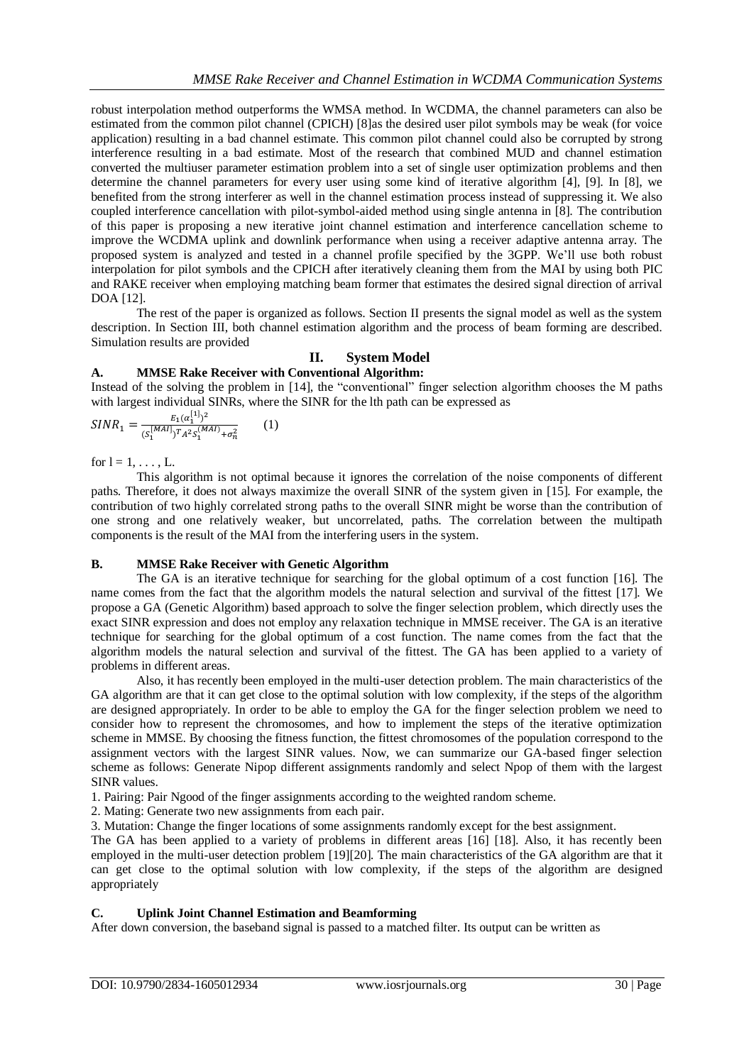robust interpolation method outperforms the WMSA method. In WCDMA, the channel parameters can also be estimated from the common pilot channel (CPICH) [8]as the desired user pilot symbols may be weak (for voice application) resulting in a bad channel estimate. This common pilot channel could also be corrupted by strong interference resulting in a bad estimate. Most of the research that combined MUD and channel estimation converted the multiuser parameter estimation problem into a set of single user optimization problems and then determine the channel parameters for every user using some kind of iterative algorithm [4], [9]. In [8], we benefited from the strong interferer as well in the channel estimation process instead of suppressing it. We also coupled interference cancellation with pilot-symbol-aided method using single antenna in [8]. The contribution of this paper is proposing a new iterative joint channel estimation and interference cancellation scheme to improve the WCDMA uplink and downlink performance when using a receiver adaptive antenna array. The proposed system is analyzed and tested in a channel profile specified by the 3GPP. We'll use both robust interpolation for pilot symbols and the CPICH after iteratively cleaning them from the MAI by using both PIC and RAKE receiver when employing matching beam former that estimates the desired signal direction of arrival DOA [12].

The rest of the paper is organized as follows. Section II presents the signal model as well as the system description. In Section III, both channel estimation algorithm and the process of beam forming are described. Simulation results are provided

# **II. System Model**

# **A. MMSE Rake Receiver with Conventional Algorithm:**

Instead of the solving the problem in [14], the "conventional" finger selection algorithm chooses the M paths with largest individual SINRs, where the SINR for the lth path can be expressed as

$$
SINR_1 = \frac{E_1(\alpha_1^{[1]})^2}{(s_1^{[MAI]})^T A^2 s_1^{(MAI)} + \sigma_n^2}
$$
 (1)

for  $l = 1, \ldots, L$ .

This algorithm is not optimal because it ignores the correlation of the noise components of different paths. Therefore, it does not always maximize the overall SINR of the system given in [15]*.* For example, the contribution of two highly correlated strong paths to the overall SINR might be worse than the contribution of one strong and one relatively weaker, but uncorrelated, paths. The correlation between the multipath components is the result of the MAI from the interfering users in the system.

# **B. MMSE Rake Receiver with Genetic Algorithm**

The GA is an iterative technique for searching for the global optimum of a cost function [16]*.* The name comes from the fact that the algorithm models the natural selection and survival of the fittest [17]*.* We propose a GA (Genetic Algorithm) based approach to solve the finger selection problem, which directly uses the exact SINR expression and does not employ any relaxation technique in MMSE receiver. The GA is an iterative technique for searching for the global optimum of a cost function. The name comes from the fact that the algorithm models the natural selection and survival of the fittest. The GA has been applied to a variety of problems in different areas.

Also, it has recently been employed in the multi-user detection problem. The main characteristics of the GA algorithm are that it can get close to the optimal solution with low complexity, if the steps of the algorithm are designed appropriately. In order to be able to employ the GA for the finger selection problem we need to consider how to represent the chromosomes, and how to implement the steps of the iterative optimization scheme in MMSE. By choosing the fitness function, the fittest chromosomes of the population correspond to the assignment vectors with the largest SINR values. Now, we can summarize our GA-based finger selection scheme as follows: Generate Nipop different assignments randomly and select Npop of them with the largest SINR values.

1. Pairing: Pair Ngood of the finger assignments according to the weighted random scheme.

2. Mating: Generate two new assignments from each pair.

3. Mutation: Change the finger locations of some assignments randomly except for the best assignment.

The GA has been applied to a variety of problems in different areas [16] [18]. Also, it has recently been employed in the multi-user detection problem [19][20]*.* The main characteristics of the GA algorithm are that it can get close to the optimal solution with low complexity, if the steps of the algorithm are designed appropriately

# **C. Uplink Joint Channel Estimation and Beamforming**

After down conversion, the baseband signal is passed to a matched filter. Its output can be written as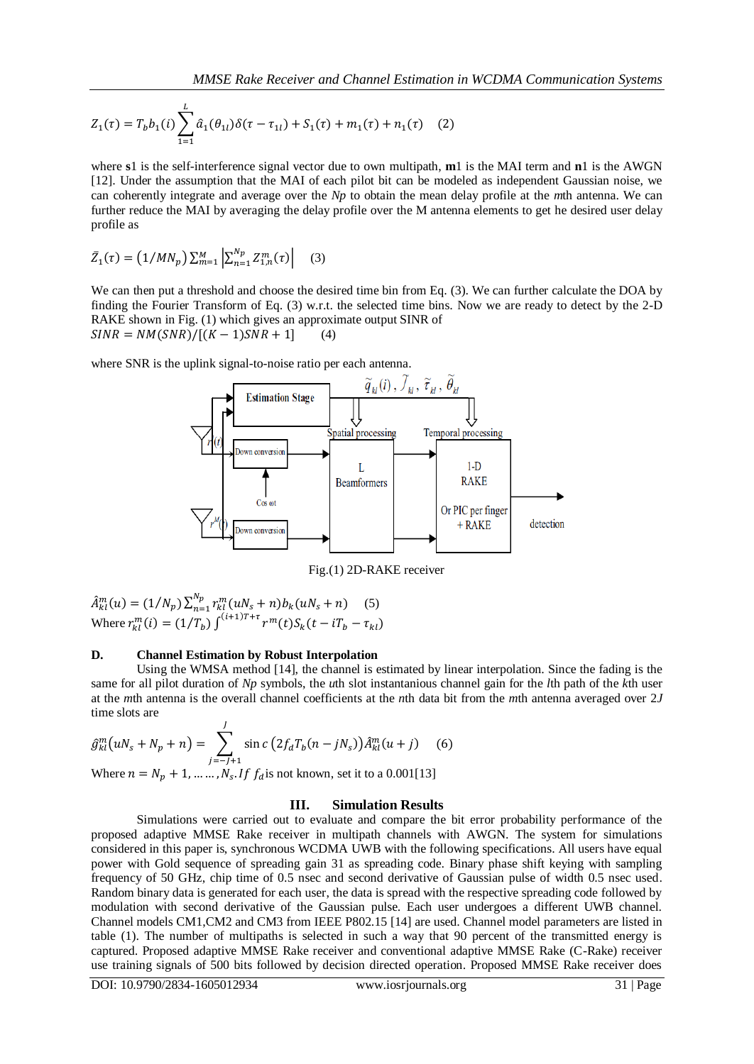$$
Z_1(\tau) = T_b b_1(i) \sum_{1=1}^{L} \hat{a}_1(\theta_{1l}) \delta(\tau - \tau_{1l}) + S_1(\tau) + m_1(\tau) + n_1(\tau) \quad (2)
$$

where **s**1 is the self-interference signal vector due to own multipath, **m**1 is the MAI term and **n**1 is the AWGN [12]. Under the assumption that the MAI of each pilot bit can be modeled as independent Gaussian noise, we can coherently integrate and average over the *Np* to obtain the mean delay profile at the *m*th antenna. We can further reduce the MAI by averaging the delay profile over the M antenna elements to get he desired user delay profile as

$$
\bar{Z}_1(\tau) = (1/MN_p) \sum_{m=1}^{M} \left| \sum_{n=1}^{N_p} Z_{1,n}^m(\tau) \right| \quad (3)
$$

We can then put a threshold and choose the desired time bin from Eq. (3). We can further calculate the DOA by finding the Fourier Transform of Eq. (3) w.r.t. the selected time bins. Now we are ready to detect by the 2-D RAKE shown in Fig. (1) which gives an approximate output SINR of  $SINR = NM(SNR)/[(K-1)SNR + 1]$  (4)

where SNR is the uplink signal-to-noise ratio per each antenna.



Fig.(1) 2D-RAKE receiver

$$
\hat{A}_{kl}^{m}(u) = (1/N_p) \sum_{n=1}^{N_p} r_{kl}^{m}(uN_s + n) b_k(uN_s + n) \quad (5)
$$
  
Where  $r_{kl}^{m}(i) = (1/T_b) \int^{(i+1)T+\tau} r^{m}(t) S_k(t - iT_b - \tau_{kl})$ 

#### **D. Channel Estimation by Robust Interpolation**

Using the WMSA method [14], the channel is estimated by linear interpolation. Since the fading is the same for all pilot duration of *Np* symbols, the *u*th slot instantanious channel gain for the *l*th path of the *k*th user at the *m*th antenna is the overall channel coefficients at the *n*th data bit from the *m*th antenna averaged over 2*J*  time slots are

$$
\hat{g}_{kl}^{m}(uN_{s} + N_{p} + n) = \sum_{j=-J+1}^{J} \sin c (2f_{d}T_{b}(n - jN_{s})) \hat{A}_{kl}^{m}(u + j)
$$
 (6)  
Where  $n = N_{p} + 1, ..., N_{s}$ . If  $f_{d}$  is not known, set it to a 0.001[13]

#### **III. Simulation Results**

Simulations were carried out to evaluate and compare the bit error probability performance of the proposed adaptive MMSE Rake receiver in multipath channels with AWGN. The system for simulations considered in this paper is, synchronous WCDMA UWB with the following specifications. All users have equal power with Gold sequence of spreading gain 31 as spreading code. Binary phase shift keying with sampling frequency of 50 GHz, chip time of 0.5 nsec and second derivative of Gaussian pulse of width 0.5 nsec used. Random binary data is generated for each user, the data is spread with the respective spreading code followed by modulation with second derivative of the Gaussian pulse. Each user undergoes a different UWB channel. Channel models CM1,CM2 and CM3 from IEEE P802.15 [14] are used. Channel model parameters are listed in table (1). The number of multipaths is selected in such a way that 90 percent of the transmitted energy is captured. Proposed adaptive MMSE Rake receiver and conventional adaptive MMSE Rake (C-Rake) receiver use training signals of 500 bits followed by decision directed operation. Proposed MMSE Rake receiver does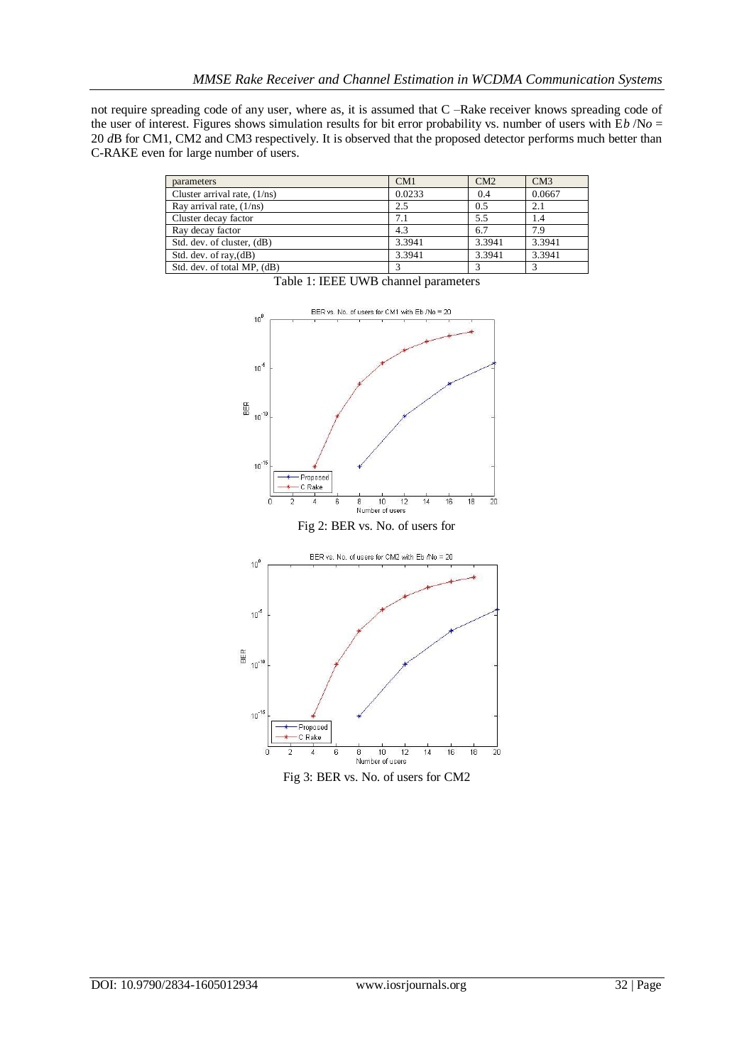not require spreading code of any user, where as, it is assumed that C –Rake receiver knows spreading code of the user of interest. Figures shows simulation results for bit error probability vs. number of users with E*b* /N*o* = 20 *d*B for CM1, CM2 and CM3 respectively. It is observed that the proposed detector performs much better than C-RAKE even for large number of users.

| parameters                     | CM1    | CM2    | CM3    |
|--------------------------------|--------|--------|--------|
| Cluster arrival rate, $(1/ns)$ | 0.0233 | 0.4    | 0.0667 |
| Ray arrival rate, $(1/ns)$     | 2.5    | 0.5    | 2.1    |
| Cluster decay factor           | 7.1    | 5.5    | 1.4    |
| Ray decay factor               | 4.3    | 6.7    | 7.9    |
| Std. dev. of cluster, (dB)     | 3.3941 | 3.3941 | 3.3941 |
| Std. dev. of ray. (dB)         | 3.3941 | 3.3941 | 3.3941 |
| Std. dev. of total MP, (dB)    |        |        |        |

| $10^0$           | BER vs. No. of users for CM1 with Eb /No = 20                                         |    |    |
|------------------|---------------------------------------------------------------------------------------|----|----|
| $10^{5}$         |                                                                                       |    |    |
| BER<br>$10^{10}$ |                                                                                       |    |    |
| $10^{15}$        | Proposed<br>C Rake                                                                    |    |    |
| 0                | $\overline{4}$<br>$\overline{a}$<br>6<br>14<br>16<br>12<br>8<br>10<br>Number of users | 18 | 20 |
|                  | Fig 2: BER vs. No. of users for                                                       |    |    |
| $10^0$           | BER vs. No. of users for CM2 with Eb /No = 20                                         |    |    |
| $10^{5}$         |                                                                                       |    |    |
| BER<br>$10^{10}$ |                                                                                       |    |    |
| $10^{15}$<br>0   | Proposed<br>C Rake<br>$\overline{2}$<br>6<br>10<br>12<br>14<br>16<br>8<br>4           | 18 | 20 |

Table 1: IEEE UWB channel parameters

Fig 3: BER vs. No. of users for CM2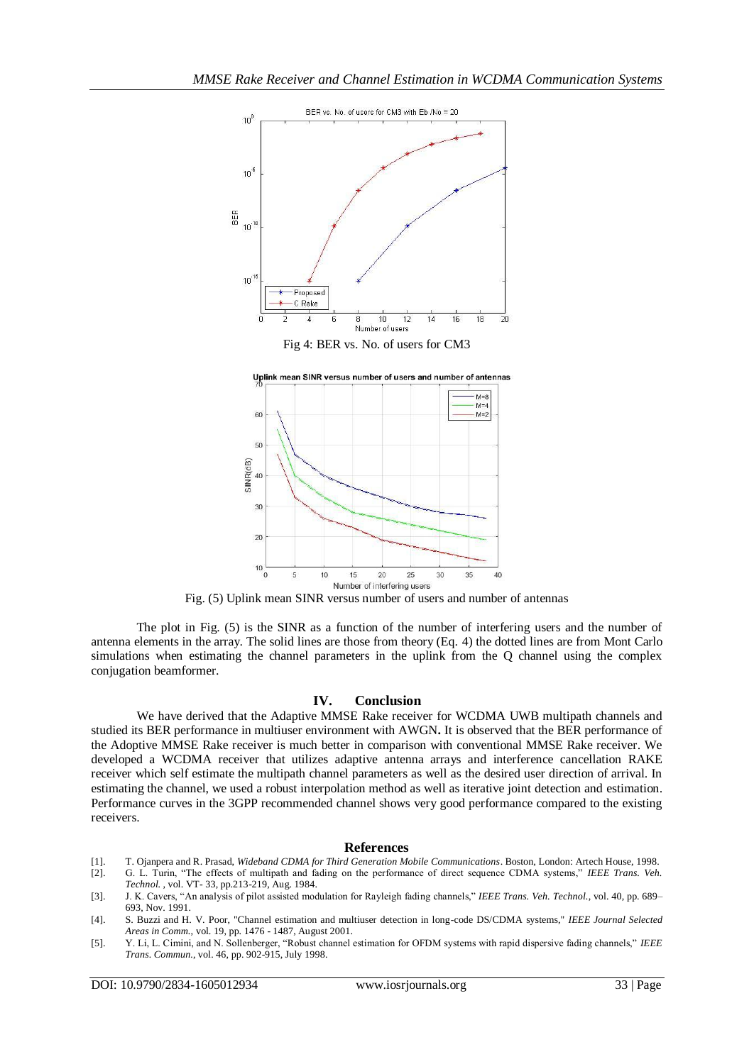

 $\frac{1}{10}$  $20$ Number of interfering users Fig. (5) Uplink mean SINR versus number of users and number of antennas

 $25$ 

 $3C$ 

35

40

 $15$ 

5

 $10$ 

The plot in Fig. (5) is the SINR as a function of the number of interfering users and the number of antenna elements in the array. The solid lines are those from theory (Eq. 4) the dotted lines are from Mont Carlo simulations when estimating the channel parameters in the uplink from the Q channel using the complex conjugation beamformer.

#### **IV. Conclusion**

We have derived that the Adaptive MMSE Rake receiver for WCDMA UWB multipath channels and studied its BER performance in multiuser environment with AWGN**.** It is observed that the BER performance of the Adoptive MMSE Rake receiver is much better in comparison with conventional MMSE Rake receiver. We developed a WCDMA receiver that utilizes adaptive antenna arrays and interference cancellation RAKE receiver which self estimate the multipath channel parameters as well as the desired user direction of arrival. In estimating the channel, we used a robust interpolation method as well as iterative joint detection and estimation. Performance curves in the 3GPP recommended channel shows very good performance compared to the existing receivers.

#### **References**

- [1]. T. Ojanpera and R. Prasad, *Wideband CDMA for Third Generation Mobile Communications*. Boston, London: Artech House, 1998.
- [2]. G. L. Turin, "The effects of multipath and fading on the performance of direct sequence CDMA systems," *IEEE Trans. Veh. Technol. ,* vol. VT- 33, pp.213-219, Aug. 1984.
- [3]. J. K. Cavers, "An analysis of pilot assisted modulation for Rayleigh fading channels," *IEEE Trans. Veh. Technol.*, vol. 40, pp. 689– 693, Nov. 1991.
- [4]. S. Buzzi and H. V. Poor, "Channel estimation and multiuser detection in long-code DS/CDMA systems," *IEEE Journal Selected Areas in Comm.,* vol. 19, pp. 1476 - 1487, August 2001.
- [5]. Y. Li, L. Cimini, and N. Sollenberger, "Robust channel estimation for OFDM systems with rapid dispersive fading channels," *IEEE Trans. Commun.*, vol. 46, pp. 902-915, July 1998.